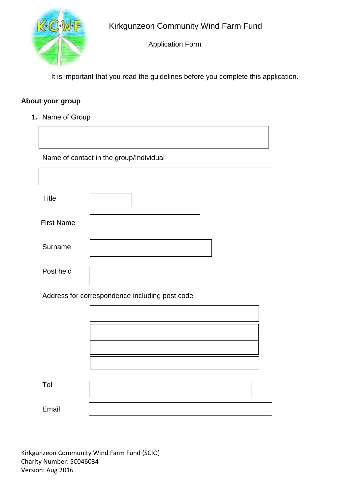

Application Form

It is important that you read the guidelines before you complete this application.

# **About your group**

**1.** Name of Group

Name of contact in the group/Individual

| <b>Title</b>      |  |
|-------------------|--|
| <b>First Name</b> |  |
| Surname           |  |
| Post held         |  |

Address for correspondence including post code

| Tel   |  |
|-------|--|
| Email |  |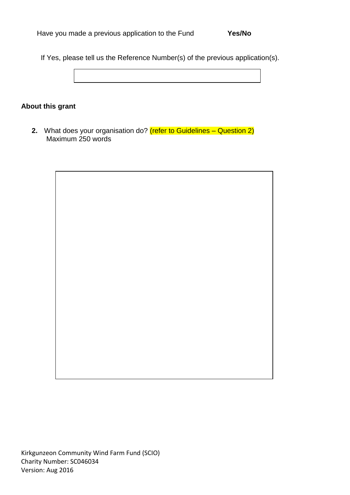If Yes, please tell us the Reference Number(s) of the previous application(s).

**About this grant**

**2.** What does your organisation do? (refer to Guidelines – Question 2) Maximum 250 words

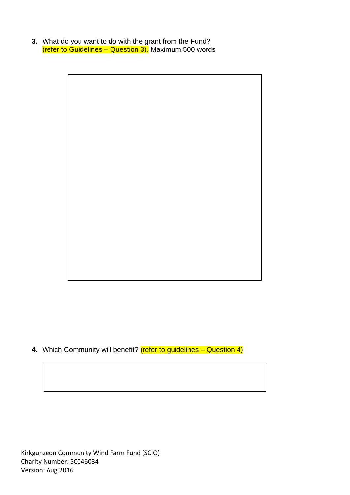**3.** What do you want to do with the grant from the Fund? (refer to Guidelines – Question 3). Maximum 500 words



**4.** Which Community will benefit? (refer to guidelines – Question 4)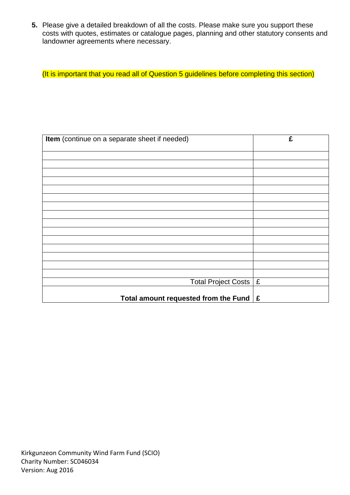**5.** Please give a detailed breakdown of all the costs. Please make sure you support these costs with quotes, estimates or catalogue pages, planning and other statutory consents and landowner agreements where necessary.

(It is important that you read all of Question 5 guidelines before completing this section)

| Item (continue on a separate sheet if needed)     | £ |
|---------------------------------------------------|---|
|                                                   |   |
|                                                   |   |
|                                                   |   |
|                                                   |   |
|                                                   |   |
|                                                   |   |
|                                                   |   |
|                                                   |   |
|                                                   |   |
|                                                   |   |
|                                                   |   |
|                                                   |   |
|                                                   |   |
| Total Project Costs   £                           |   |
|                                                   |   |
| Total amount requested from the Fund $\mathbf{E}$ |   |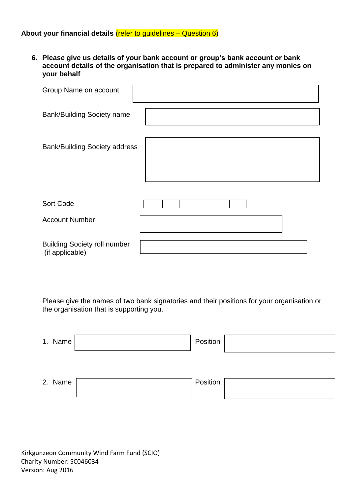## **About your financial details** (refer to guidelines – Question 6)

**6. Please give us details of your bank account or group's bank account or bank account details of the organisation that is prepared to administer any monies on your behalf**

| Group Name on account                                  |  |
|--------------------------------------------------------|--|
| <b>Bank/Building Society name</b>                      |  |
|                                                        |  |
| <b>Bank/Building Society address</b>                   |  |
|                                                        |  |
|                                                        |  |
|                                                        |  |
| Sort Code                                              |  |
| <b>Account Number</b>                                  |  |
|                                                        |  |
| <b>Building Society roll number</b><br>(if applicable) |  |

Please give the names of two bank signatories and their positions for your organisation or the organisation that is supporting you.

| 1. Name | Position |  |
|---------|----------|--|
|         |          |  |
| 2. Name | Position |  |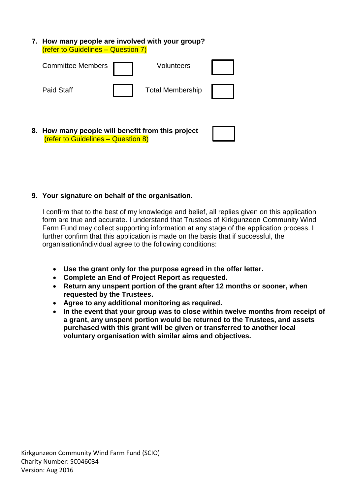**7. How many people are involved with your group?** (refer to Guidelines – Question 7)



# **9. Your signature on behalf of the organisation.**

I confirm that to the best of my knowledge and belief, all replies given on this application form are true and accurate. I understand that Trustees of Kirkgunzeon Community Wind Farm Fund may collect supporting information at any stage of the application process. I further confirm that this application is made on the basis that if successful, the organisation/individual agree to the following conditions:

- **Use the grant only for the purpose agreed in the offer letter.**
- **Complete an End of Project Report as requested.**
- **Return any unspent portion of the grant after 12 months or sooner, when requested by the Trustees.**
- **Agree to any additional monitoring as required.**
- **In the event that your group was to close within twelve months from receipt of a grant, any unspent portion would be returned to the Trustees, and assets purchased with this grant will be given or transferred to another local voluntary organisation with similar aims and objectives.**